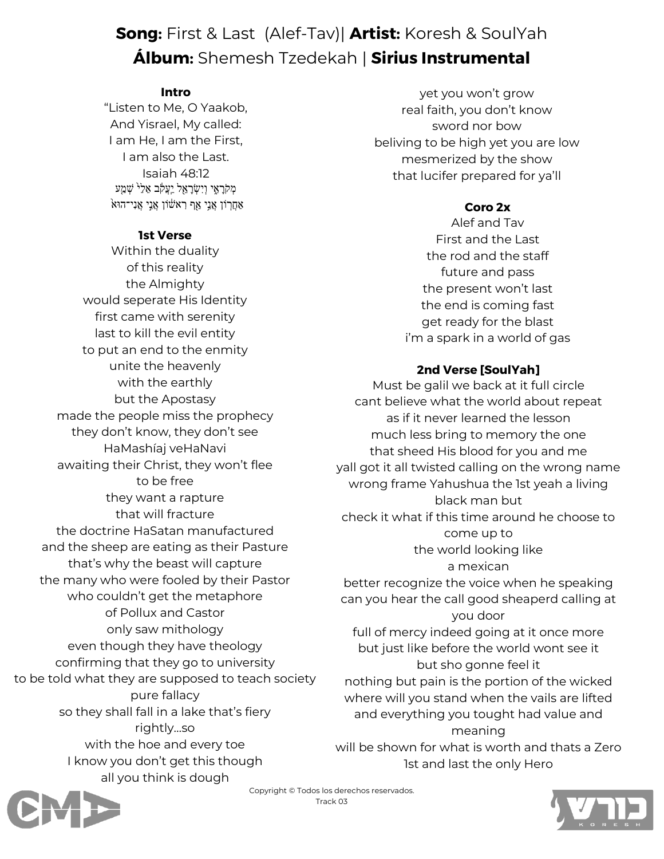# **Song:** First & Last (Alef-Tav)| **Artist:** Koresh & SoulYah **Álbum:** Shemesh Tzedekah | **Sirius Instrumental**

### **Intro**

"Listen to Me, O Yaakob, And Yisrael, My called: I am He, I am the First, I am also the Last. Isaiah 48:12 מְקֹרָאֶי וְיִשְׂרָאֵל יִעֲקֹב אֵלֵ<sup>ל </sup>שָׁמַע  $\lambda$ אַמְרִוֹן אֲנִי אַן רִאשׁוֹן אֲנִי אֲנִי־הוּא

### **1st Verse**

Within the duality of this reality the Almighty would seperate His Identity first came with serenity last to kill the evil entity to put an end to the enmity unite the heavenly with the earthly but the Apostasy made the people miss the prophecy they don't know, they don't see HaMashíaj veHaNavi awaiting their Christ, they won't flee to be free they want a rapture that will fracture the doctrine HaSatan manufactured and the sheep are eating as their Pasture that's why the beast will capture the many who were fooled by their Pastor who couldn't get the metaphore of Pollux and Castor only saw mithology even though they have theology confirming that they go to university to be told what they are supposed to teach society pure fallacy so they shall fall in a lake that's fiery rightly…so with the hoe and every toe I know you don't get this though all you think is dough

yet you won't grow real faith, you don't know sword nor bow beliving to be high yet you are low mesmerized by the show that lucifer prepared for ya'll

## **Coro 2x**

Alef and Tav First and the Last the rod and the staff future and pass the present won't last the end is coming fast get ready for the blast i'm a spark in a world of gas

# **2nd Verse [SoulYah]**

Must be galil we back at it full circle cant believe what the world about repeat as if it never learned the lesson much less bring to memory the one that sheed His blood for you and me yall got it all twisted calling on the wrong name wrong frame Yahushua the 1st yeah a living black man but check it what if this time around he choose to come up to the world looking like a mexican better recognize the voice when he speaking can you hear the call good sheaperd calling at you door full of mercy indeed going at it once more but just like before the world wont see it but sho gonne feel it nothing but pain is the portion of the wicked

where will you stand when the vails are lifted and everything you tought had value and meaning

will be shown for what is worth and thats a Zero 1st and last the only Hero



Copyright © Todos los derechos reservados. Track 03